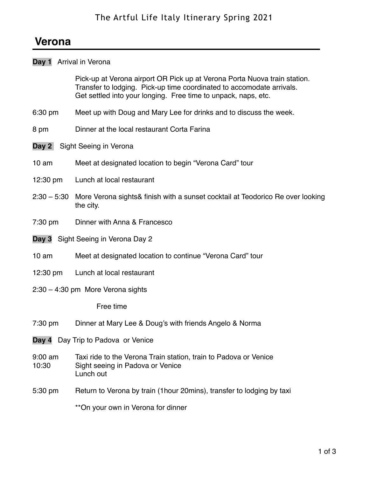# **Verona**

# **Day 1** Arrival in Verona

Pick-up at Verona airport OR Pick up at Verona Porta Nuova train station. Transfer to lodging. Pick-up time coordinated to accomodate arrivals. Get settled into your longing. Free time to unpack, naps, etc.

- 6:30 pm Meet up with Doug and Mary Lee for drinks and to discuss the week.
- 8 pm Dinner at the local restaurant Corta Farina
- **Day 2** Sight Seeing in Verona
- 10 am Meet at designated location to begin "Verona Card" tour
- 12:30 pm Lunch at local restaurant
- 2:30 5:30 More Verona sights& finish with a sunset cocktail at Teodorico Re over looking the city.
- 7:30 pm Dinner with Anna & Francesco
- **Day 3** Sight Seeing in Verona Day 2
- 10 am Meet at designated location to continue "Verona Card" tour
- 12:30 pm Lunch at local restaurant
- 2:30 4:30 pm More Verona sights

Free time

- 7:30 pm Dinner at Mary Lee & Doug's with friends Angelo & Norma
- **Day 4** Day Trip to Padova or Venice
- 9:00 am Taxi ride to the Verona Train station, train to Padova or Venice 10:30 Sight seeing in Padova or Venice Lunch out
- 5:30 pm Return to Verona by train (1hour 20mins), transfer to lodging by taxi

\*\*On your own in Verona for dinner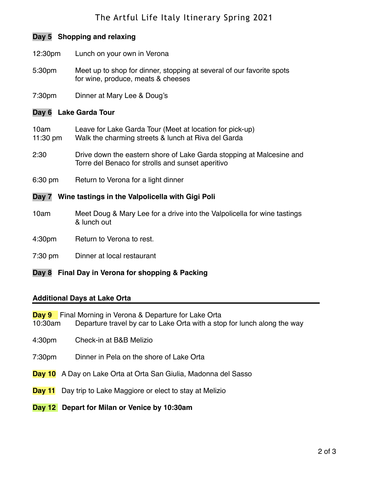# The Artful Life Italy Itinerary Spring 2021

# **Day 5 Shopping and relaxing**

- 12:30pm Lunch on your own in Verona
- 5:30pm Meet up to shop for dinner, stopping at several of our favorite spots for wine, produce, meats & cheeses
- 7:30pm Dinner at Mary Lee & Doug's

#### **Day 6 Lake Garda Tour**

- 10am Leave for Lake Garda Tour (Meet at location for pick-up)
- 11:30 pm Walk the charming streets & lunch at Riva del Garda
- 2:30 Drive down the eastern shore of Lake Garda stopping at Malcesine and Torre del Benaco for strolls and sunset aperitivo
- 6:30 pm Return to Verona for a light dinner

#### **Day 7 Wine tastings in the Valpolicella with Gigi Poli**

- 10am Meet Doug & Mary Lee for a drive into the Valpolicella for wine tastings & lunch out
- 4:30pm Return to Verona to rest.
- 7:30 pm Dinner at local restaurant

### **Day 8 Final Day in Verona for shopping & Packing**

#### **Additional Days at Lake Orta**

- **Day 9** Final Morning in Verona & Departure for Lake Orta 10:30am Departure travel by car to Lake Orta with a stop for lunch along the way
- 4:30pm Check-in at B&B Melizio
- 7:30pm Dinner in Pela on the shore of Lake Orta
- **Day 10** A Day on Lake Orta at Orta San Giulia, Madonna del Sasso
- **Day 11** Day trip to Lake Maggiore or elect to stay at Melizio
- **Day 12 Depart for Milan or Venice by 10:30am**